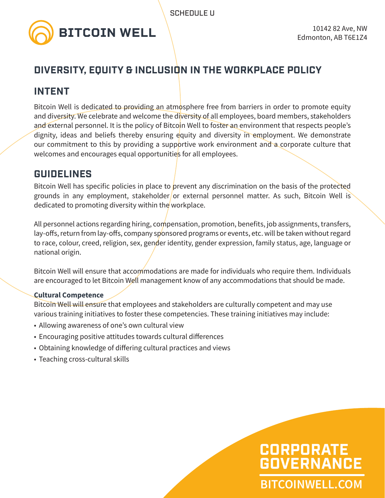

# **DIVERSITY, EQUITY & INCLUSION IN THE WORKPLACE POLICY**

## **INTENT**

Bitcoin Well is dedicated to providing an atmosphere free from barriers in order to promote equity and diversity. We celebrate and welcome the diversity of all employees, board members, stakeholders and external personnel. It is the policy of Bitcoin Well to foster an environment that respects people's dignity, ideas and beliefs thereby ensuring equity and diversity in employment. We demonstrate our commitment to this by providing a supportive work environment and a corporate culture that welcomes and encourages equal opportunities for all employees.

## **GUIDELINES**

Bitcoin Well has specific policies in place to prevent any discrimination on the basis of the protected grounds in any employment, stakeholder/or external personnel matter. As such, Bitcoin Well is dedicated to promoting diversity within the workplace.

All personnel actions regarding hiring, compensation, promotion, benefits, job assignments, transfers, lay-offs, return from lay-offs, company sponsored programs or events, etc. will be taken without regard to race, colour, creed, religion, sex, gender identity, gender expression, family status, age, language or national origin.

Bitcoin Well will ensure that accommodations are made for individuals who require them. Individuals are encouraged to let Bitcoin Well management know of any accommodations that should be made.

## **Cultural Competence**

Bitcoin Well will ensure that employees and stakeholders are culturally competent and may use various training initiatives to foster these competencies. These training initiatives may include:

- Allowing awareness of one's own cultural view
- Encouraging positive attitudes towards cultural differences
- Obtaining knowledge of differing cultural practices and views
- Teaching cross-cultural skills

# **BITCOINWELL.COM CORPORATE GOVERNANCE**